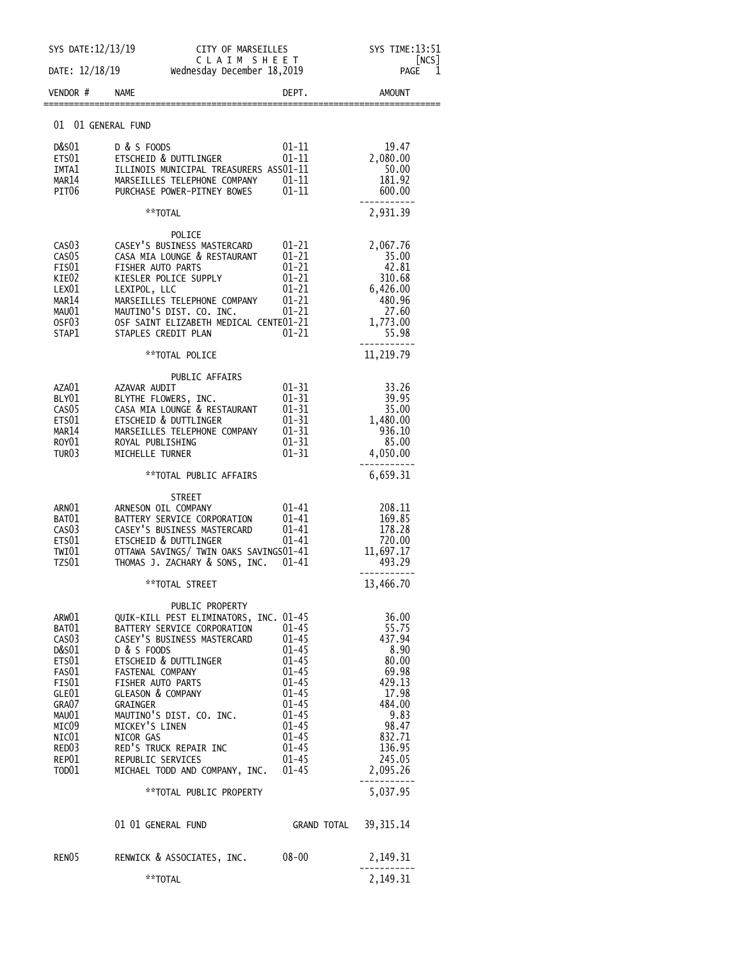|                                                                                                                                                 | SYS DATE: 12/13/19<br>CITY OF MARSEILLES                                                                                                                                                                                                                                                                                                                                                    |                                                                                                                                                       | SYS TIME: 13:51<br>NCS                                                                                                                                   |  |
|-------------------------------------------------------------------------------------------------------------------------------------------------|---------------------------------------------------------------------------------------------------------------------------------------------------------------------------------------------------------------------------------------------------------------------------------------------------------------------------------------------------------------------------------------------|-------------------------------------------------------------------------------------------------------------------------------------------------------|----------------------------------------------------------------------------------------------------------------------------------------------------------|--|
| DATE: 12/18/19                                                                                                                                  |                                                                                                                                                                                                                                                                                                                                                                                             | CLAIM SHEET<br>Wednesday December 18,2019                                                                                                             |                                                                                                                                                          |  |
| VENDOR#                                                                                                                                         | <b>NAME</b>                                                                                                                                                                                                                                                                                                                                                                                 | DEPT.                                                                                                                                                 | <b>AMOUNT</b>                                                                                                                                            |  |
| 01 01 GENERAL FUND                                                                                                                              |                                                                                                                                                                                                                                                                                                                                                                                             |                                                                                                                                                       |                                                                                                                                                          |  |
| D&S01<br>ETS01<br>IMTA1<br>MAR14<br>PIT06                                                                                                       | D & S FOODS<br>ETSCHEID & DUTTLINGER<br>ILLINOIS MUNICIPAL TREASURERS ASS01-11<br>MARSEILLES TELEPHONE COMPANY<br>PURCHASE POWER-PITNEY BOWES                                                                                                                                                                                                                                               | $01 - 11$<br>01-11<br>$01 - 11$<br>$01 - 11$                                                                                                          | 19.47<br>2,080.00<br>50.00<br>181.92<br>600.00                                                                                                           |  |
|                                                                                                                                                 | **TOTAL                                                                                                                                                                                                                                                                                                                                                                                     |                                                                                                                                                       | 2,931.39                                                                                                                                                 |  |
| CAS <sub>03</sub><br>CAS <sub>05</sub><br>FIS01<br>KIE02<br>LEX01<br>MAR14<br>MAU01<br>OSF <sub>03</sub><br>STAP1                               | POLICE<br>CASEY'S BUSINESS MASTERCARD<br>CASA MIA LOUNGE & RESTAURANT<br>FISHER AUTO PARTS<br>KIESLER POLICE SUPPLY<br>LEXIPOL, LLC<br>MARSEILLES TELEPHONE COMPANY<br>MAUTINO'S DIST. CO. INC.<br>OSF SAINT ELIZABETH MEDICAL CENTE01-21<br>STAPLES CREDIT PLAN                                                                                                                            | $01 - 21$<br>$01 - 21$<br>$01 - 21$<br>$01 - 21$<br>$01 - 21$<br>$01 - 21$<br>01-21<br>01-21                                                          | 2,067.76<br>35.00<br>42.81<br>310.68<br>6,426.00<br>480.96<br>27.60<br>1,773.00<br>55.98                                                                 |  |
|                                                                                                                                                 | **TOTAL POLICE                                                                                                                                                                                                                                                                                                                                                                              |                                                                                                                                                       | 11,219.79                                                                                                                                                |  |
| AZA01<br>BLY01<br>CAS <sub>05</sub><br>ETS01<br>MAR14<br>ROY <sub>01</sub><br>TUR03                                                             | PUBLIC AFFAIRS<br>AZAVAR AUDIT<br>BLYTHE FLOWERS, INC.<br>CASA MIA LOUNGE & RESTAURANT<br>ETSCHEID & DUTTLINGER<br>MARSEILLES TELEPHONE COMPANY<br>ROYAL PUBLISHING<br>MICHELLE TURNER                                                                                                                                                                                                      | $01 - 31$<br>$01 - 31$<br>$01 - 31$<br>$01 - 31$<br>$01 - 31$<br>$01 - 31$<br>$01 - 31$                                                               | 33.26<br>39.95<br>35.00<br>1,480.00<br>936.10<br>85.00<br>4,050.00                                                                                       |  |
|                                                                                                                                                 | **TOTAL PUBLIC AFFAIRS                                                                                                                                                                                                                                                                                                                                                                      |                                                                                                                                                       | 6,659.31                                                                                                                                                 |  |
| ARNO1<br>BAT01<br>CAS03<br>ETS01<br>TWI01<br>TZS01                                                                                              | STREET<br>ARNESON OIL COMPANY<br>BATTERY SERVICE CORPORATION<br>CASEY'S BUSINESS MASTERCARD<br>ETSCHEID & DUTTLINGER<br>OTTAWA SAVINGS/ TWIN OAKS SAVINGS01-41<br>THOMAS J. ZACHARY & SONS, INC.                                                                                                                                                                                            | 01-41<br>$01 - 41$<br>01-41<br>$01 - 41$<br>01-41                                                                                                     | 208.11<br>169.85<br>178.28<br>720.00<br>11,697.17<br>493.29                                                                                              |  |
|                                                                                                                                                 | **TOTAL STREET                                                                                                                                                                                                                                                                                                                                                                              |                                                                                                                                                       | 13,466.70                                                                                                                                                |  |
| ARW01<br>BAT01<br>CAS <sub>03</sub><br>D&S01<br>ETS01<br>FAS01<br>FIS01<br>GLE01<br>GRA07<br>MAU01<br>MIC09<br>NIC01<br>RED03<br>REP01<br>TOD01 | PUBLIC PROPERTY<br>QUIK-KILL PEST ELIMINATORS, INC. 01-45<br>BATTERY SERVICE CORPORATION<br>CASEY'S BUSINESS MASTERCARD<br>D & S FOODS<br>ETSCHEID & DUTTLINGER<br>FASTENAL COMPANY<br>FISHER AUTO PARTS<br>GLEASON & COMPANY<br>GRAINGER<br>MAUTINO'S DIST. CO. INC.<br>MICKEY'S LINEN<br>NICOR GAS<br>RED'S TRUCK REPAIR INC<br>REPUBLIC SERVICES<br>MICHAEL TODD AND COMPANY, INC. 01-45 | $01 - 45$<br>01–45<br>01–45<br>01–45<br>$01 - 45$<br>$01 - 45$<br>$01 - 45$<br>$01 - 45$<br>$01 - 45$<br>$01 - 45$<br>01–45<br>$01 - 45$<br>$01 - 45$ | 36.00<br>55.75<br>437.94<br>8.90<br>80.00<br>69.98<br>429.13<br>17.98<br>484.00<br>9.83<br>98.47<br>832.71<br>136.95<br>245.05<br>2,095.26<br>---------- |  |
|                                                                                                                                                 | **TOTAL PUBLIC PROPERTY                                                                                                                                                                                                                                                                                                                                                                     |                                                                                                                                                       | 5,037.95                                                                                                                                                 |  |
|                                                                                                                                                 | 01 01 GENERAL FUND                                                                                                                                                                                                                                                                                                                                                                          | GRAND TOTAL 39,315.14                                                                                                                                 |                                                                                                                                                          |  |
| RENO5                                                                                                                                           | RENWICK & ASSOCIATES, INC.         08-00                                                                                                                                                                                                                                                                                                                                                    |                                                                                                                                                       | 2,149.31                                                                                                                                                 |  |
|                                                                                                                                                 | **TOTAL                                                                                                                                                                                                                                                                                                                                                                                     |                                                                                                                                                       | 2,149.31                                                                                                                                                 |  |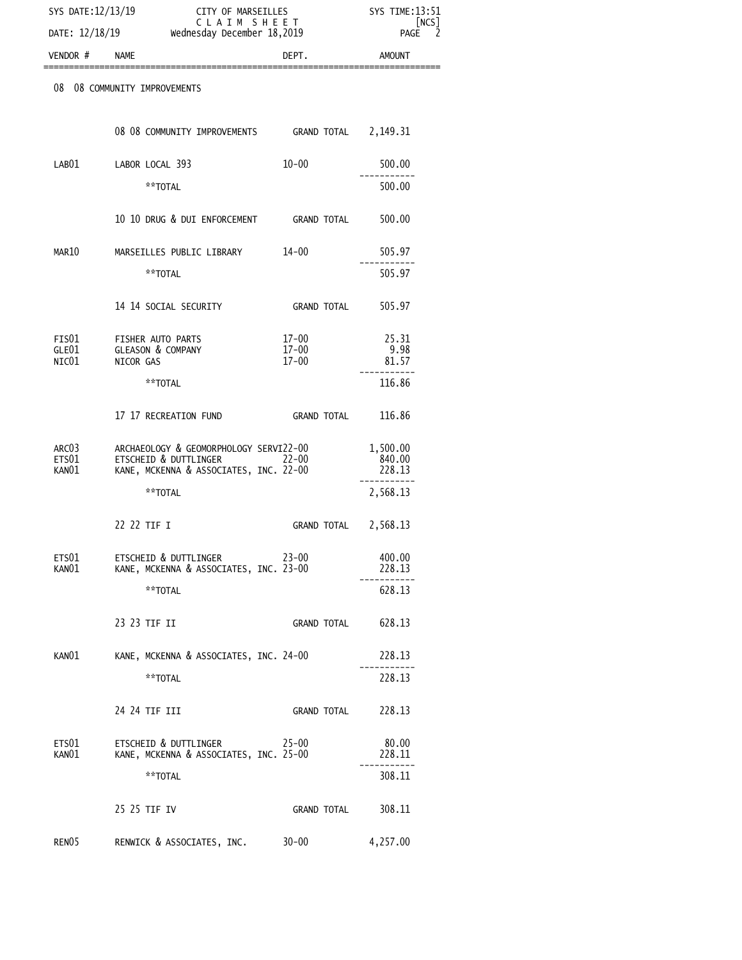| SYS DATE: 12/13/19      |                                                                                                           | CITY OF MARSEILLES<br>CLAIM SHEET<br>Wednesday December 18,2019 |                              |
|-------------------------|-----------------------------------------------------------------------------------------------------------|-----------------------------------------------------------------|------------------------------|
| DATE: 12/18/19          |                                                                                                           |                                                                 |                              |
| VENDOR #                | <b>NAME</b>                                                                                               | DEPT.                                                           | <b>AMOUNT</b>                |
| 08                      | 08 COMMUNITY IMPROVEMENTS                                                                                 |                                                                 |                              |
|                         | 08 08 COMMUNITY IMPROVEMENTS GRAND TOTAL 2,149.31                                                         |                                                                 |                              |
| LAB01                   | LABOR LOCAL 393                                                                                           | $10 - 00$                                                       | 500.00                       |
|                         | **TOTAL                                                                                                   |                                                                 | 500.00                       |
|                         | 10 10 DRUG & DUI ENFORCEMENT GRAND TOTAL                                                                  |                                                                 | 500.00                       |
| MAR10                   | MARSEILLES PUBLIC LIBRARY                                                                                 | 14-00                                                           | 505.97                       |
|                         | **TOTAL                                                                                                   |                                                                 | 505.97                       |
|                         | 14 14 SOCIAL SECURITY                                                                                     | GRAND TOTAL                                                     | 505.97                       |
| FIS01<br>GLE01<br>NIC01 | FISHER AUTO PARTS<br><b>GLEASON &amp; COMPANY</b><br>NICOR GAS                                            | 17-00<br>$17 - 00$<br>$17 - 00$                                 | 25.31<br>9.98<br>81.57       |
|                         | **TOTAL                                                                                                   |                                                                 | 116.86                       |
|                         | 17 17 RECREATION FUND                                                                                     | GRAND TOTAL                                                     | 116.86                       |
| ARC03<br>ETS01<br>KAN01 | ARCHAEOLOGY & GEOMORPHOLOGY SERVI22-00<br>ETSCHEID & DUTTLINGER<br>KANE, MCKENNA & ASSOCIATES, INC. 22-00 | $22 - 00$                                                       | 1,500.00<br>840.00<br>228.13 |
|                         | **TOTAL                                                                                                   |                                                                 | 2,568.13                     |
|                         | 22 22 TIF I                                                                                               | GRAND TOTAL                                                     | 2,568.13                     |
| ETS01<br>KANO1          | ETSCHEID & DUTTLINGER<br>KANE, MCKENNA & ASSOCIATES, INC. 23-00                                           | 23-00                                                           | 400.00<br>228.13             |
|                         | **TOTAL                                                                                                   |                                                                 | 628.13                       |
|                         | 23 23 TIF II                                                                                              | GRAND TOTAL                                                     | 628.13                       |
| KANO1                   | KANE, MCKENNA & ASSOCIATES, INC. 24-00                                                                    |                                                                 | 228.13                       |
|                         | **TOTAL                                                                                                   |                                                                 | 228.13                       |
|                         | 24 24 TIF III                                                                                             | <b>GRAND TOTAL</b>                                              | 228.13                       |
| ETS01<br>KANO1          | ETSCHEID & DUTTLINGER<br>KANE, MCKENNA & ASSOCIATES, INC. 25-00                                           | $25 - 00$                                                       | 80.00<br>228.11              |
|                         | **TOTAL                                                                                                   |                                                                 | 308.11                       |
|                         | 25 25 TIF IV                                                                                              | <b>GRAND TOTAL</b>                                              | 308.11                       |
| RENO5                   | RENWICK & ASSOCIATES, INC. 30-00                                                                          |                                                                 | 4,257.00                     |